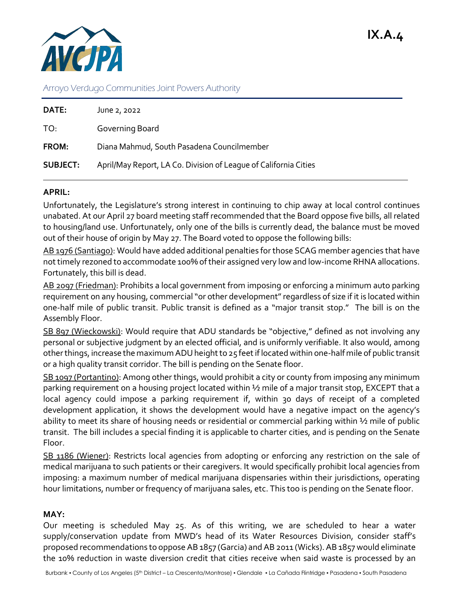

Arroyo Verdugo Communities Joint Powers Authority

| June 2, 2022                                                     |
|------------------------------------------------------------------|
| Governing Board                                                  |
| Diana Mahmud, South Pasadena Councilmember                       |
| April/May Report, LA Co. Division of League of California Cities |
|                                                                  |

## **APRIL:**

Unfortunately, the Legislature's strong interest in continuing to chip away at local control continues unabated. At our April 27 board meeting staff recommended that the Board oppose five bills, all related to housing/land use. Unfortunately, only one of the bills is currently dead, the balance must be moved out of their house of origin by May 27. The Board voted to oppose the following bills:

AB 1976 (Santiago): Would have added additional penalties for those SCAG member agencies that have not timely rezoned to accommodate 100% of their assigned very low and low-income RHNA allocations. Fortunately, this bill is dead.

AB 2097 (Friedman): Prohibits a local government from imposing or enforcing a minimum auto parking requirement on any housing, commercial "or other development" regardless of size if it is located within one-half mile of public transit. Public transit is defined as a "major transit stop." The bill is on the Assembly Floor.

SB 897 (Wieckowski): Would require that ADU standards be "objective," defined as not involving any personal or subjective judgment by an elected official, and is uniformly verifiable. It also would, among other things, increase the maximum ADU height to 25 feet if located within one-half mile of public transit or a high quality transit corridor. The bill is pending on the Senate floor.

SB 1097 (Portantino): Among other things, would prohibit a city or county from imposing any minimum parking requirement on a housing project located within ½ mile of a major transit stop, EXCEPT that a local agency could impose a parking requirement if, within 30 days of receipt of a completed development application, it shows the development would have a negative impact on the agency's ability to meet its share of housing needs or residential or commercial parking within ½ mile of public transit. The bill includes a special finding it is applicable to charter cities, and is pending on the Senate Floor.

SB 1186 (Wiener): Restricts local agencies from adopting or enforcing any restriction on the sale of medical marijuana to such patients or their caregivers. It would specifically prohibit local agencies from imposing: a maximum number of medical marijuana dispensaries within their jurisdictions, operating hour limitations, number or frequency of marijuana sales, etc. This too is pending on the Senate floor.

## **MAY:**

Our meeting is scheduled May 25. As of this writing, we are scheduled to hear a water supply/conservation update from MWD's head of its Water Resources Division, consider staff's proposed recommendations to oppose AB 1857 (Garcia) and AB 2011 (Wicks). AB 1857 would eliminate the 10% reduction in waste diversion credit that cities receive when said waste is processed by an